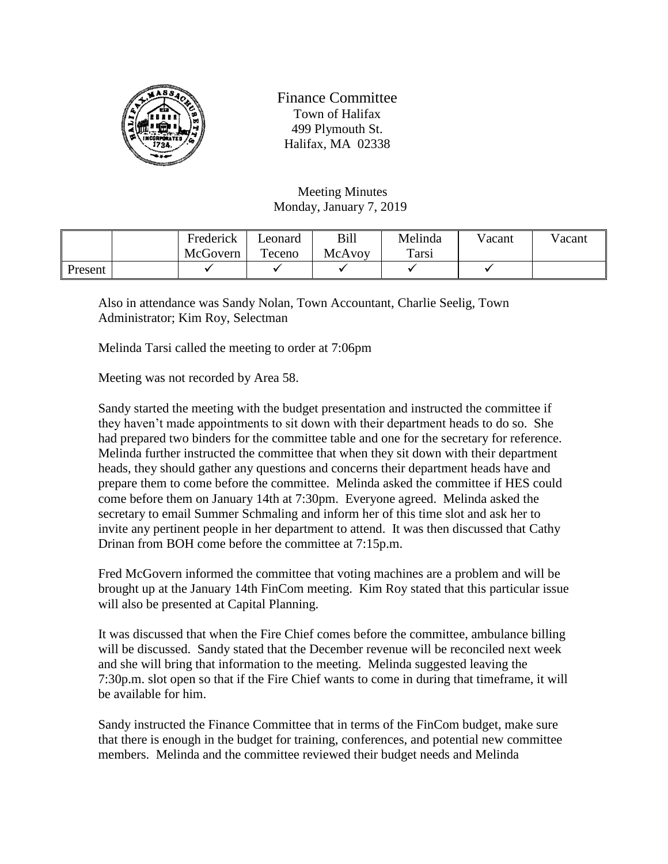

Finance Committee Town of Halifax 499 Plymouth St. Halifax, MA 02338

Meeting Minutes Monday, January 7, 2019

|         | Frederick | Leonard | Bill   | Melinda | Vacant | Vacant |
|---------|-----------|---------|--------|---------|--------|--------|
|         | McGovern  | Teceno  | McAvoy | Tarsi   |        |        |
| Present |           |         |        |         |        |        |

Also in attendance was Sandy Nolan, Town Accountant, Charlie Seelig, Town Administrator; Kim Roy, Selectman

Melinda Tarsi called the meeting to order at 7:06pm

Meeting was not recorded by Area 58.

Sandy started the meeting with the budget presentation and instructed the committee if they haven't made appointments to sit down with their department heads to do so. She had prepared two binders for the committee table and one for the secretary for reference. Melinda further instructed the committee that when they sit down with their department heads, they should gather any questions and concerns their department heads have and prepare them to come before the committee. Melinda asked the committee if HES could come before them on January 14th at 7:30pm. Everyone agreed. Melinda asked the secretary to email Summer Schmaling and inform her of this time slot and ask her to invite any pertinent people in her department to attend. It was then discussed that Cathy Drinan from BOH come before the committee at 7:15p.m.

Fred McGovern informed the committee that voting machines are a problem and will be brought up at the January 14th FinCom meeting. Kim Roy stated that this particular issue will also be presented at Capital Planning.

It was discussed that when the Fire Chief comes before the committee, ambulance billing will be discussed. Sandy stated that the December revenue will be reconciled next week and she will bring that information to the meeting. Melinda suggested leaving the 7:30p.m. slot open so that if the Fire Chief wants to come in during that timeframe, it will be available for him.

Sandy instructed the Finance Committee that in terms of the FinCom budget, make sure that there is enough in the budget for training, conferences, and potential new committee members. Melinda and the committee reviewed their budget needs and Melinda